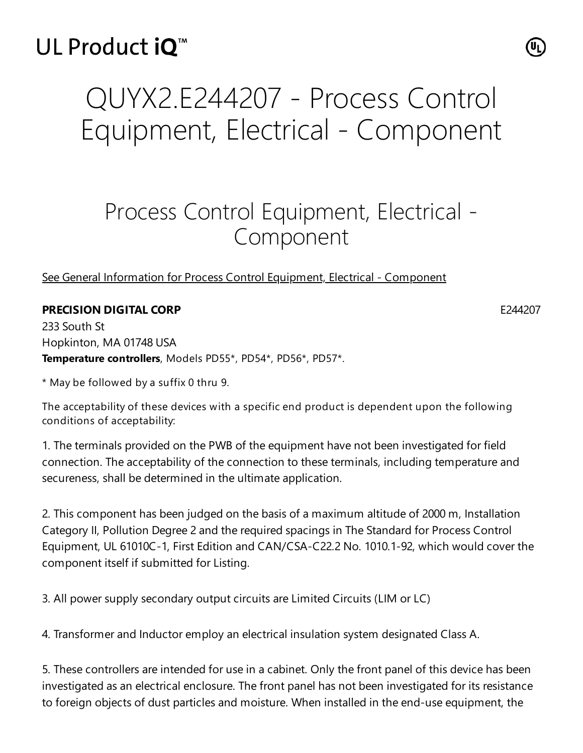## UL Product iO<sup>™</sup>

## QUYX2.E244207 - Process Control Equipment, Electrical - Component

## Process Control Equipment, Electrical - Component

## See General Information for Process Control Equipment, Electrical - [Component](https://iq.ulprospector.com/cgi-bin/XYV/template/LISEXT/1FRAME/showpage.html?&name=QUYX2.GuideInfo&ccnshorttitle=Process+Control+Equipment,+Electrical+-+Component&objid=1073793041&cfgid=1073741824&version=versionless&parent_id=1073793040&sequence=1)

**PRECISION DIGITAL CORP** E244207

233 South St Hopkinton, MA 01748 USA **Temperature controllers**, Models PD55\*, PD54\*, PD56\*, PD57\*.

\* May be followed by a suffix 0 thru 9.

The acceptability of these devices with a specific end product is dependent upon the following conditions of acceptability:

1. The terminals provided on the PWB of the equipment have not been investigated for field connection. The acceptability of the connection to these terminals, including temperature and secureness, shall be determined in the ultimate application.

2. This component has been judged on the basis of a maximum altitude of 2000 m, Installation Category II, Pollution Degree 2 and the required spacings in The Standard for Process Control Equipment, UL 61010C-1, First Edition and CAN/CSA-C22.2 No. 1010.1-92, which would cover the component itself if submitted for Listing.

3. All power supply secondary output circuits are Limited Circuits (LIM or LC)

4. Transformer and Inductor employ an electrical insulation system designated Class A.

5. These controllers are intended for use in a cabinet. Only the front panel of this device has been investigated as an electrical enclosure. The front panel has not been investigated for its resistance to foreign objects of dust particles and moisture. When installed in the end-use equipment, the